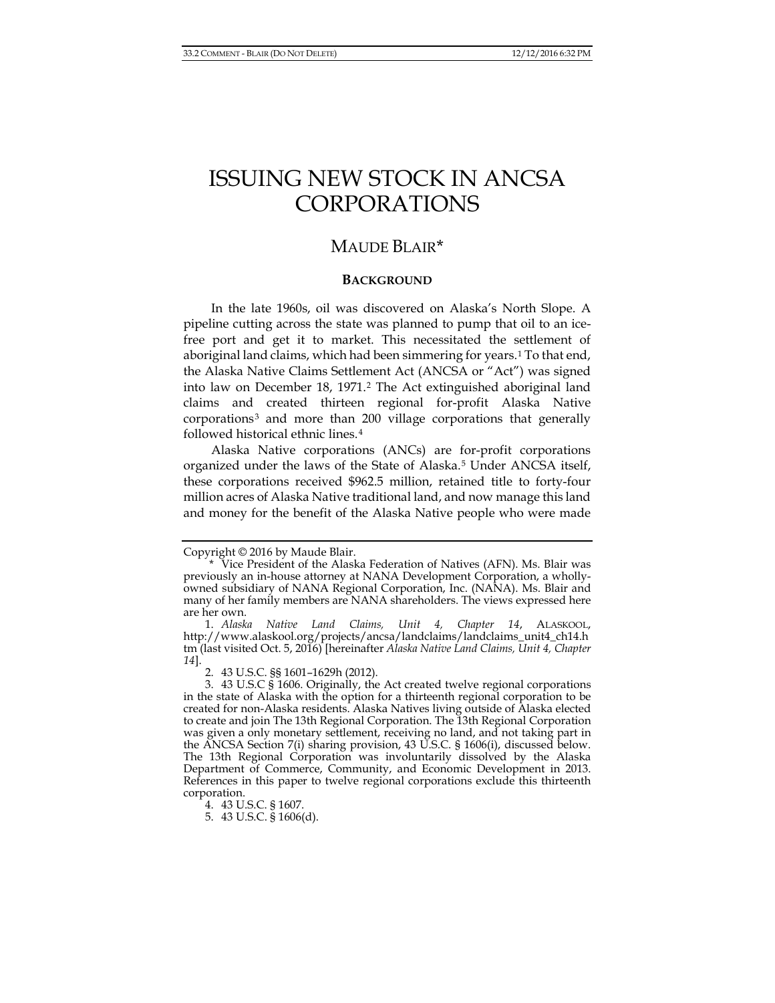# ISSUING NEW STOCK IN ANCSA CORPORATIONS

# MAUDE BLAIR[\\*](#page-0-0)

#### <span id="page-0-6"></span>**BACKGROUND**

In the late 1960s, oil was discovered on Alaska's North Slope. A pipeline cutting across the state was planned to pump that oil to an icefree port and get it to market. This necessitated the settlement of aboriginal land claims, which had been simmering for years.[1](#page-0-1) To that end, the Alaska Native Claims Settlement Act (ANCSA or "Act") was signed into law on December 18, 1971.[2](#page-0-2) The Act extinguished aboriginal land claims and created thirteen regional for-profit Alaska Native corporations[3](#page-0-3) and more than 200 village corporations that generally followed historical ethnic lines.[4](#page-0-4)

Alaska Native corporations (ANCs) are for-profit corporations organized under the laws of the State of Alaska.[5](#page-0-5) Under ANCSA itself, these corporations received \$962.5 million, retained title to forty-four million acres of Alaska Native traditional land, and now manage this land and money for the benefit of the Alaska Native people who were made

<span id="page-0-0"></span>Copyright © 2016 by Maude Blair.

<sup>\*</sup> Vice President of the Alaska Federation of Natives (AFN). Ms. Blair was previously an in-house attorney at NANA Development Corporation, a whollyowned subsidiary of NANA Regional Corporation, Inc. (NANA). Ms. Blair and many of her family members are NANA shareholders. The views expressed here are her own.

<span id="page-0-1"></span><sup>1.</sup> *Alaska Native Land Claims, Unit 4, Chapter 14*, ALASKOOL, http://www.alaskool.org/projects/ancsa/landclaims/landclaims\_unit4\_ch14.h tm (last visited Oct. 5, 2016) [hereinafter *Alaska Native Land Claims, Unit 4, Chapter 14*].

<sup>2.</sup> 43 U.S.C. §§ 1601–1629h (2012).

<span id="page-0-3"></span><span id="page-0-2"></span><sup>3.</sup> 43 U.S.C § 1606. Originally, the Act created twelve regional corporations in the state of Alaska with the option for a thirteenth regional corporation to be created for non-Alaska residents. Alaska Natives living outside of Alaska elected to create and join The 13th Regional Corporation. The 13th Regional Corporation was given a only monetary settlement, receiving no land, and not taking part in the ANCSA Section 7(i) sharing provision, 43 U.S.C. § 1606(i), discussed below. The 13th Regional Corporation was involuntarily dissolved by the Alaska Department of Commerce, Community, and Economic Development in 2013. References in this paper to twelve regional corporations exclude this thirteenth corporation.

<span id="page-0-5"></span><span id="page-0-4"></span><sup>4.</sup> 43 U.S.C. § 1607.

<sup>5.</sup> 43 U.S.C. § 1606(d).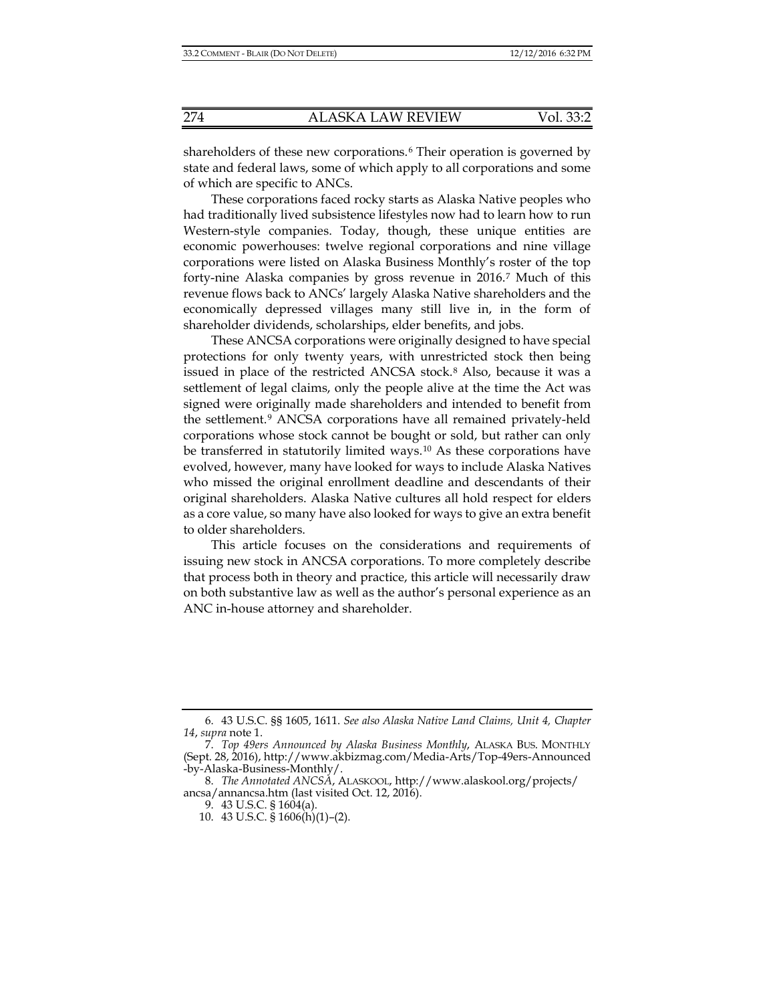shareholders of these new corporations.<sup>[6](#page-1-0)</sup> Their operation is governed by state and federal laws, some of which apply to all corporations and some of which are specific to ANCs.

These corporations faced rocky starts as Alaska Native peoples who had traditionally lived subsistence lifestyles now had to learn how to run Western-style companies. Today, though, these unique entities are economic powerhouses: twelve regional corporations and nine village corporations were listed on Alaska Business Monthly's roster of the top forty-nine Alaska companies by gross revenue in 2016.[7](#page-1-1) Much of this revenue flows back to ANCs' largely Alaska Native shareholders and the economically depressed villages many still live in, in the form of shareholder dividends, scholarships, elder benefits, and jobs.

These ANCSA corporations were originally designed to have special protections for only twenty years, with unrestricted stock then being issued in place of the restricted ANCSA stock.<sup>[8](#page-1-2)</sup> Also, because it was a settlement of legal claims, only the people alive at the time the Act was signed were originally made shareholders and intended to benefit from the settlement.[9](#page-1-3) ANCSA corporations have all remained privately-held corporations whose stock cannot be bought or sold, but rather can only be transferred in statutorily limited ways.[10](#page-1-4) As these corporations have evolved, however, many have looked for ways to include Alaska Natives who missed the original enrollment deadline and descendants of their original shareholders. Alaska Native cultures all hold respect for elders as a core value, so many have also looked for ways to give an extra benefit to older shareholders.

This article focuses on the considerations and requirements of issuing new stock in ANCSA corporations. To more completely describe that process both in theory and practice, this article will necessarily draw on both substantive law as well as the author's personal experience as an ANC in-house attorney and shareholder.

<span id="page-1-0"></span><sup>6.</sup> 43 U.S.C. §§ 1605, 1611. *See also Alaska Native Land Claims, Unit 4, Chapter 14*, *supra* note [1.](#page-0-6)

<span id="page-1-1"></span><sup>7.</sup> *Top 49ers Announced by Alaska Business Monthly*, ALASKA BUS. MONTHLY (Sept. 28, 2016), http://www.akbizmag.com/Media-Arts/Top-49ers-Announced -by-Alaska-Business-Monthly/.

<span id="page-1-4"></span><span id="page-1-3"></span><span id="page-1-2"></span><sup>8.</sup> *The Annotated ANCSA*, ALASKOOL, http://www.alaskool.org/projects/ ancsa/annancsa.htm (last visited Oct. 12, 2016).

<sup>9.</sup> 43 U.S.C. § 1604(a).

<sup>10.</sup> 43 U.S.C. § 1606(h)(1)–(2).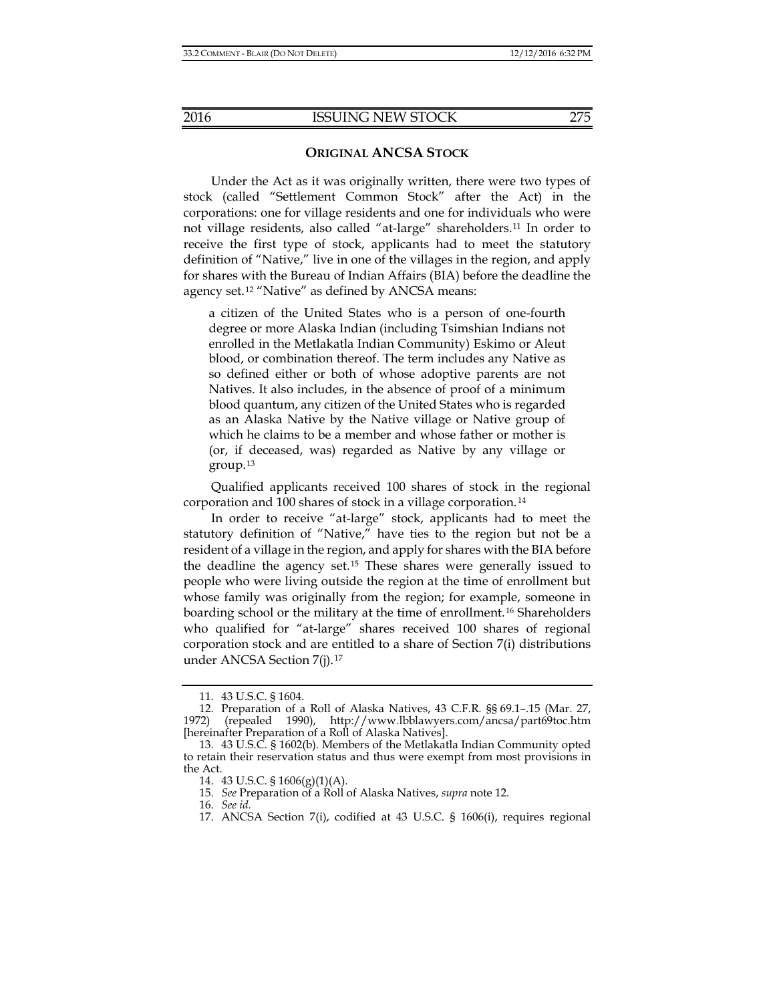#### **ORIGINAL ANCSA STOCK**

Under the Act as it was originally written, there were two types of stock (called "Settlement Common Stock" after the Act) in the corporations: one for village residents and one for individuals who were not village residents, also called "at-large" shareholders.[11](#page-2-1) In order to receive the first type of stock, applicants had to meet the statutory definition of "Native," live in one of the villages in the region, and apply for shares with the Bureau of Indian Affairs (BIA) before the deadline the agency set.[12](#page-2-2) "Native" as defined by ANCSA means:

<span id="page-2-0"></span>a citizen of the United States who is a person of one-fourth degree or more Alaska Indian (including Tsimshian Indians not enrolled in the Metlakatla Indian Community) Eskimo or Aleut blood, or combination thereof. The term includes any Native as so defined either or both of whose adoptive parents are not Natives. It also includes, in the absence of proof of a minimum blood quantum, any citizen of the United States who is regarded as an Alaska Native by the Native village or Native group of which he claims to be a member and whose father or mother is (or, if deceased, was) regarded as Native by any village or group.[13](#page-2-3)

Qualified applicants received 100 shares of stock in the regional corporation and 100 shares of stock in a village corporation.[14](#page-2-4)

In order to receive "at-large" stock, applicants had to meet the statutory definition of "Native," have ties to the region but not be a resident of a village in the region, and apply for shares with the BIA before the deadline the agency set.[15](#page-2-5) These shares were generally issued to people who were living outside the region at the time of enrollment but whose family was originally from the region; for example, someone in boarding school or the military at the time of enrollment.[16](#page-2-6) Shareholders who qualified for "at-large" shares received 100 shares of regional corporation stock and are entitled to a share of Section 7(i) distributions under ANCSA Section 7(j).[17](#page-2-7)

<sup>11.</sup> 43 U.S.C. § 1604.

<span id="page-2-2"></span><span id="page-2-1"></span><sup>12.</sup> Preparation of a Roll of Alaska Natives, 43 C.F.R. §§ 69.1–.15 (Mar. 27, 1972) (repealed 1990), http://www.lbblawyers.com/ancsa/part69toc.htm [hereinafter Preparation of a Roll of Alaska Natives].

<span id="page-2-7"></span><span id="page-2-6"></span><span id="page-2-5"></span><span id="page-2-4"></span><span id="page-2-3"></span><sup>13.</sup> 43 U.S.C. § 1602(b). Members of the Metlakatla Indian Community opted to retain their reservation status and thus were exempt from most provisions in the Act.

<sup>14.</sup> 43 U.S.C. § 1606(g)(1)(A).

<sup>15.</sup> *See* Preparation of a Roll of Alaska Natives, *supra* not[e 12.](#page-2-0) 

<sup>16.</sup> *See id.* 

<sup>17.</sup> ANCSA Section 7(i), codified at 43 U.S.C. § 1606(i), requires regional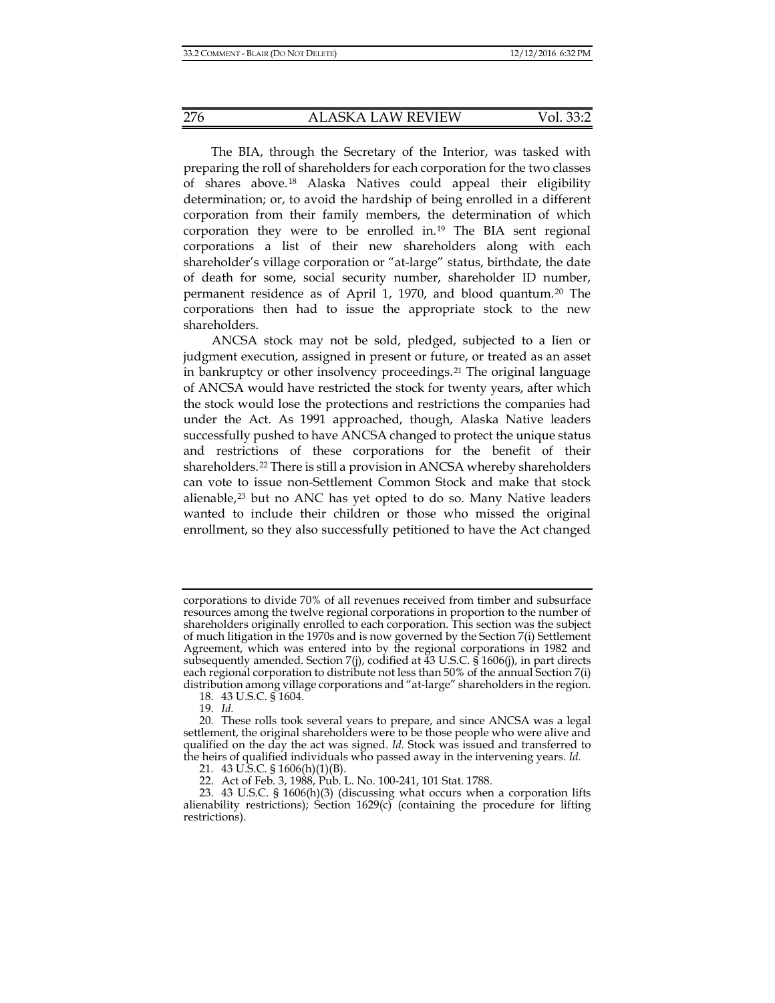The BIA, through the Secretary of the Interior, was tasked with preparing the roll of shareholders for each corporation for the two classes of shares above.[18](#page-3-0) Alaska Natives could appeal their eligibility determination; or, to avoid the hardship of being enrolled in a different corporation from their family members, the determination of which corporation they were to be enrolled in.[19](#page-3-1) The BIA sent regional corporations a list of their new shareholders along with each shareholder's village corporation or "at-large" status, birthdate, the date of death for some, social security number, shareholder ID number, permanent residence as of April 1, 1970, and blood quantum.[20](#page-3-2) The corporations then had to issue the appropriate stock to the new shareholders.

ANCSA stock may not be sold, pledged, subjected to a lien or judgment execution, assigned in present or future, or treated as an asset in bankruptcy or other insolvency proceedings.<sup>[21](#page-3-3)</sup> The original language of ANCSA would have restricted the stock for twenty years, after which the stock would lose the protections and restrictions the companies had under the Act. As 1991 approached, though, Alaska Native leaders successfully pushed to have ANCSA changed to protect the unique status and restrictions of these corporations for the benefit of their shareholders.[22](#page-3-4) There is still a provision in ANCSA whereby shareholders can vote to issue non-Settlement Common Stock and make that stock alienable,<sup>[23](#page-3-5)</sup> but no ANC has yet opted to do so. Many Native leaders wanted to include their children or those who missed the original enrollment, so they also successfully petitioned to have the Act changed

corporations to divide 70% of all revenues received from timber and subsurface resources among the twelve regional corporations in proportion to the number of shareholders originally enrolled to each corporation. This section was the subject of much litigation in the 1970s and is now governed by the Section 7(i) Settlement Agreement, which was entered into by the regional corporations in 1982 and subsequently amended. Section 7(j), codified at  $43$  U.S.C.  $\hat{S}$  1606(j), in part directs each regional corporation to distribute not less than 50% of the annual Section 7(i) distribution among village corporations and "at-large" shareholders in the region.

<sup>18.</sup> 43 U.S.C. § 1604.

<sup>19.</sup> *Id.* 

<span id="page-3-2"></span><span id="page-3-1"></span><span id="page-3-0"></span><sup>20.</sup> These rolls took several years to prepare, and since ANCSA was a legal settlement, the original shareholders were to be those people who were alive and qualified on the day the act was signed. *Id.* Stock was issued and transferred to the heirs of qualified individuals who passed away in the intervening years. *Id.* 

<sup>21.</sup> 43 U.S.C. § 1606(h)(1)(B).

<sup>22.</sup> Act of Feb. 3, 1988, Pub. L. No. 100-241, 101 Stat. 1788.

<span id="page-3-5"></span><span id="page-3-4"></span><span id="page-3-3"></span><sup>23.</sup> 43 U.S.C. § 1606(h)(3) (discussing what occurs when a corporation lifts alienability restrictions); Section  $1629(c)$  (containing the procedure for lifting restrictions).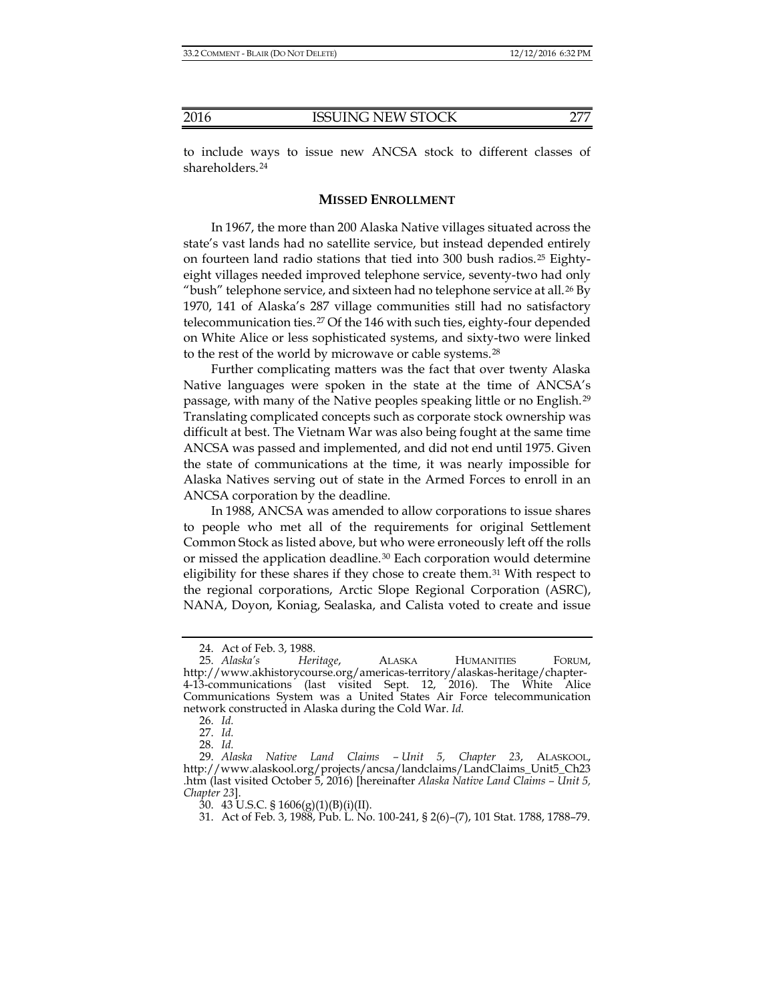shareholders.[24](#page-4-0)

#### <span id="page-4-8"></span>**MISSED ENROLLMENT**

In 1967, the more than 200 Alaska Native villages situated across the state's vast lands had no satellite service, but instead depended entirely on fourteen land radio stations that tied into 300 bush radios.[25](#page-4-1) Eightyeight villages needed improved telephone service, seventy-two had only "bush" telephone service, and sixteen had no telephone service at all.<sup>[26](#page-4-2)</sup> By 1970, 141 of Alaska's 287 village communities still had no satisfactory telecommunication ties.[27](#page-4-3) Of the 146 with such ties, eighty-four depended on White Alice or less sophisticated systems, and sixty-two were linked to the rest of the world by microwave or cable systems.[28](#page-4-4)

Further complicating matters was the fact that over twenty Alaska Native languages were spoken in the state at the time of ANCSA's passage, with many of the Native peoples speaking little or no English.[29](#page-4-5) Translating complicated concepts such as corporate stock ownership was difficult at best. The Vietnam War was also being fought at the same time ANCSA was passed and implemented, and did not end until 1975. Given the state of communications at the time, it was nearly impossible for Alaska Natives serving out of state in the Armed Forces to enroll in an ANCSA corporation by the deadline.

In 1988, ANCSA was amended to allow corporations to issue shares to people who met all of the requirements for original Settlement Common Stock as listed above, but who were erroneously left off the rolls or missed the application deadline.[30](#page-4-6) Each corporation would determine eligibility for these shares if they chose to create them.[31](#page-4-7) With respect to the regional corporations, Arctic Slope Regional Corporation (ASRC), NANA, Doyon, Koniag, Sealaska, and Calista voted to create and issue

<sup>24.</sup> Act of Feb. 3, 1988.

<span id="page-4-1"></span><span id="page-4-0"></span><sup>25.</sup> *Alaska's Heritage*, ALASKA HUMANITIES FORUM, http://www.akhistorycourse.org/americas-territory/alaskas-heritage/chapter-4-13-communications (last visited Sept. 12, 2016). The White Alice Communications System was a United States Air Force telecommunication network constructed in Alaska during the Cold War. *Id.* 

<sup>26.</sup> *Id.*

<sup>27.</sup> *Id.*

<sup>28.</sup> *Id.*

<span id="page-4-7"></span><span id="page-4-6"></span><span id="page-4-5"></span><span id="page-4-4"></span><span id="page-4-3"></span><span id="page-4-2"></span><sup>29.</sup> *Alaska Native Land Claims – Unit 5, Chapter 23*, ALASKOOL, http://www.alaskool.org/projects/ancsa/landclaims/LandClaims\_Unit5\_Ch23 .htm (last visited October 5, 2016) [hereinafter *Alaska Native Land Claims – Unit 5, Chapter 23*].

<sup>30.</sup> 43 U.S.C. § 1606(g)(1)(B)(i)(II).

<sup>31.</sup> Act of Feb. 3, 1988, Pub. L. No. 100-241, § 2(6)–(7), 101 Stat. 1788, 1788–79.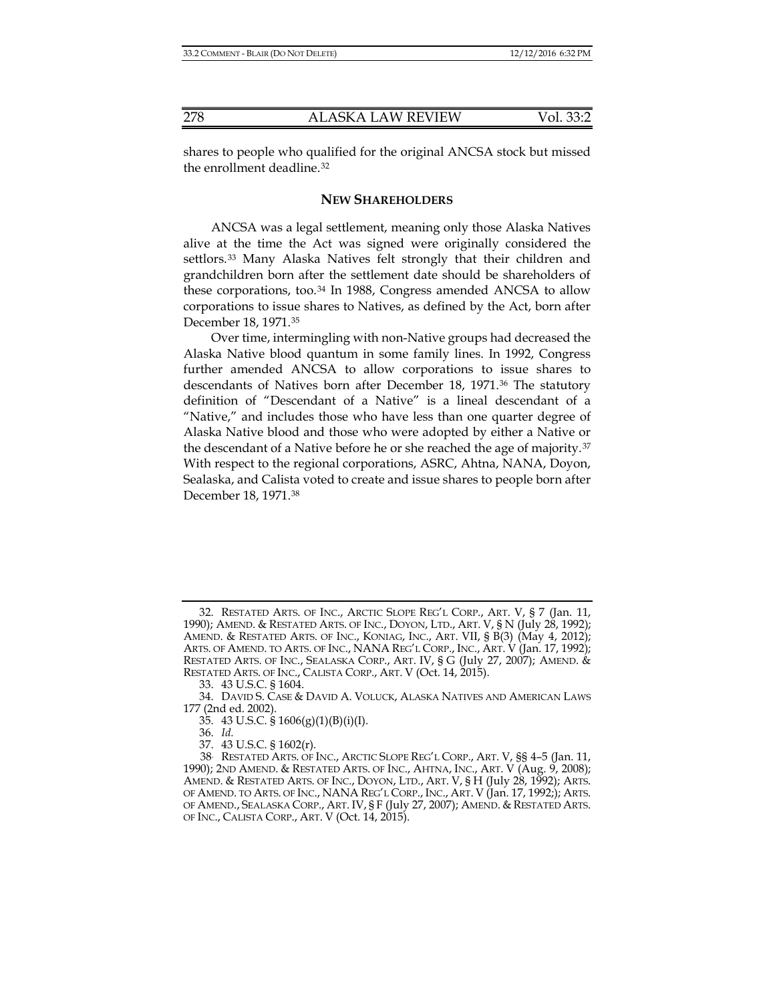shares to people who qualified for the original ANCSA stock but missed the enrollment deadline.[32](#page-5-0)

### **NEW SHAREHOLDERS**

ANCSA was a legal settlement, meaning only those Alaska Natives alive at the time the Act was signed were originally considered the settlors.[33](#page-5-1) Many Alaska Natives felt strongly that their children and grandchildren born after the settlement date should be shareholders of these corporations, too.[34](#page-5-2) In 1988, Congress amended ANCSA to allow corporations to issue shares to Natives, as defined by the Act, born after December 18, 1971.[35](#page-5-3)

Over time, intermingling with non-Native groups had decreased the Alaska Native blood quantum in some family lines. In 1992, Congress further amended ANCSA to allow corporations to issue shares to descendants of Natives born after December 18, 1971.[36](#page-5-4) The statutory definition of "Descendant of a Native" is a lineal descendant of a "Native," and includes those who have less than one quarter degree of Alaska Native blood and those who were adopted by either a Native or the descendant of a Native before he or she reached the age of majority.<sup>[37](#page-5-5)</sup> With respect to the regional corporations, ASRC, Ahtna, NANA, Doyon, Sealaska, and Calista voted to create and issue shares to people born after December 18, 1971.[38](#page-5-6)

<span id="page-5-7"></span><span id="page-5-0"></span><sup>32.</sup> RESTATED ARTS. OF INC., ARCTIC SLOPE REG'L CORP., ART. V, § 7 (Jan. 11, 1990); AMEND. & RESTATED ARTS. OF INC., DOYON, LTD., ART. V, § N (July 28, 1992); AMEND. & RESTATED ARTS. OF INC., KONIAG, INC., ART. VII, § B(3) (May 4, 2012); ARTS. OF AMEND. TO ARTS. OF INC., NANA REG'L CORP., INC., ART. V (Jan. 17, 1992); RESTATED ARTS. OF INC., SEALASKA CORP., ART. IV, § G (July 27, 2007); AMEND. & RESTATED ARTS. OF INC., CALISTA CORP., ART. V (Oct. 14, 2015).

<sup>33.</sup> 43 U.S.C. § 1604.

<span id="page-5-3"></span><span id="page-5-2"></span><span id="page-5-1"></span><sup>34.</sup> DAVID S. CASE & DAVID A. VOLUCK, ALASKA NATIVES AND AMERICAN LAWS 177 (2nd ed. 2002).

<sup>35.</sup> 43 U.S.C. § 1606(g)(1)(B)(i)(I).

<sup>36.</sup> *Id.*

<sup>37.</sup> 43 U.S.C. § 1602(r).

<span id="page-5-6"></span><span id="page-5-5"></span><span id="page-5-4"></span><sup>38.</sup> RESTATED ARTS. OF INC., ARCTIC SLOPE REG'L CORP., ART. V, §§ 4–5 (Jan. 11, 1990); 2ND AMEND. & RESTATED ARTS. OF INC., AHTNA, INC., ART. V (Aug. 9, 2008); AMEND. & RESTATED ARTS. OF INC., DOYON, LTD., ART. V, § H (July 28, 1992); ARTS. OF AMEND. TO ARTS. OF INC., NANA REG'L CORP., INC., ART. V (Jan. 17, 1992;); ARTS. OF AMEND., SEALASKA CORP., ART. IV, § F (July 27, 2007); AMEND. & RESTATED ARTS. OF INC., CALISTA CORP., ART. V (Oct. 14, 2015).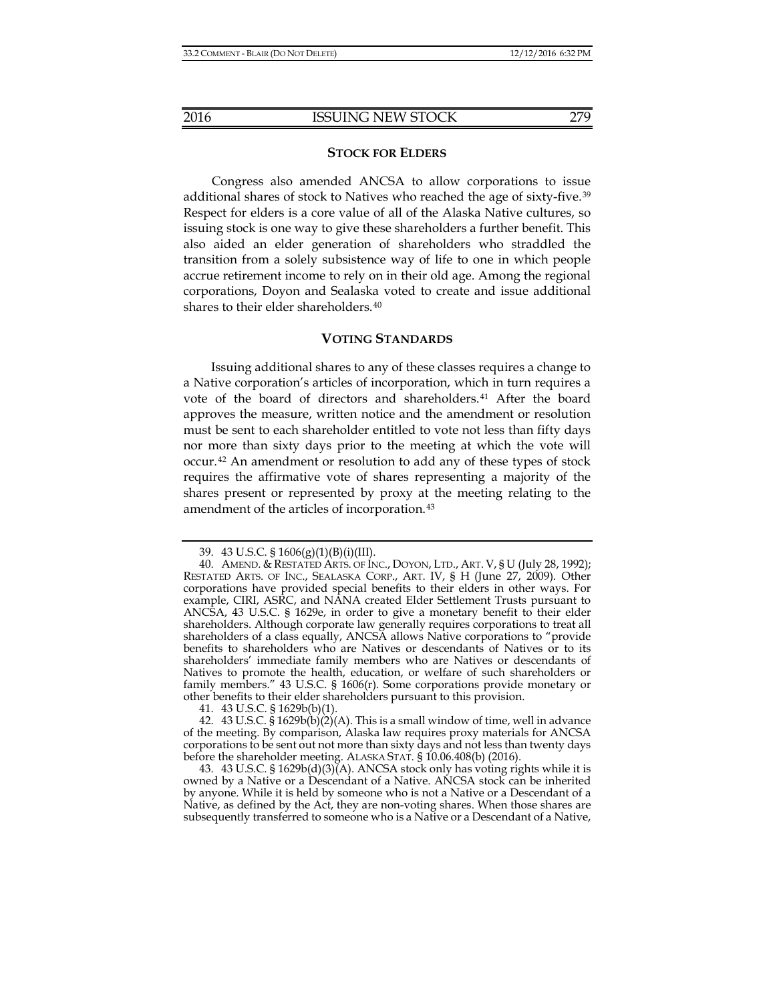#### **STOCK FOR ELDERS**

Congress also amended ANCSA to allow corporations to issue additional shares of stock to Natives who reached the age of sixty-five.<sup>[39](#page-6-0)</sup> Respect for elders is a core value of all of the Alaska Native cultures, so issuing stock is one way to give these shareholders a further benefit. This also aided an elder generation of shareholders who straddled the transition from a solely subsistence way of life to one in which people accrue retirement income to rely on in their old age. Among the regional corporations, Doyon and Sealaska voted to create and issue additional shares to their elder shareholders.[40](#page-6-1)

## **VOTING STANDARDS**

Issuing additional shares to any of these classes requires a change to a Native corporation's articles of incorporation, which in turn requires a vote of the board of directors and shareholders.<sup>[41](#page-6-2)</sup> After the board approves the measure, written notice and the amendment or resolution must be sent to each shareholder entitled to vote not less than fifty days nor more than sixty days prior to the meeting at which the vote will occur.[42](#page-6-3) An amendment or resolution to add any of these types of stock requires the affirmative vote of shares representing a majority of the shares present or represented by proxy at the meeting relating to the amendment of the articles of incorporation.[43](#page-6-4)

41. 43 U.S.C. § 1629b(b)(1).

<span id="page-6-3"></span><span id="page-6-2"></span>42. 43 U.S.C. § 1629b(b)(2)(A). This is a small window of time, well in advance of the meeting. By comparison, Alaska law requires proxy materials for ANCSA corporations to be sent out not more than sixty days and not less than twenty days before the shareholder meeting. ALASKA STAT. § 10.06.408(b) (2016).

<span id="page-6-4"></span>43. 43 U.S.C. § 1629b(d)(3)(A). ANCSA stock only has voting rights while it is owned by a Native or a Descendant of a Native. ANCSA stock can be inherited by anyone. While it is held by someone who is not a Native or a Descendant of a Native, as defined by the Act, they are non-voting shares. When those shares are subsequently transferred to someone who is a Native or a Descendant of a Native,

<sup>39.</sup> 43 U.S.C. § 1606(g)(1)(B)(i)(III).

<span id="page-6-1"></span><span id="page-6-0"></span><sup>40.</sup> AMEND. & RESTATED ARTS. OF INC., DOYON, LTD., ART. V, § U (July 28, 1992); RESTATED ARTS. OF INC., SEALASKA CORP., ART. IV, § H (June 27, 2009). Other corporations have provided special benefits to their elders in other ways. For example, CIRI, ASRC, and NANA created Elder Settlement Trusts pursuant to ANCSA, 43 U.S.C. § 1629e, in order to give a monetary benefit to their elder shareholders. Although corporate law generally requires corporations to treat all shareholders of a class equally, ANCSA allows Native corporations to "provide benefits to shareholders who are Natives or descendants of Natives or to its shareholders' immediate family members who are Natives or descendants of Natives to promote the health, education, or welfare of such shareholders or family members." 43 U.S.C. § 1606(r). Some corporations provide monetary or other benefits to their elder shareholders pursuant to this provision.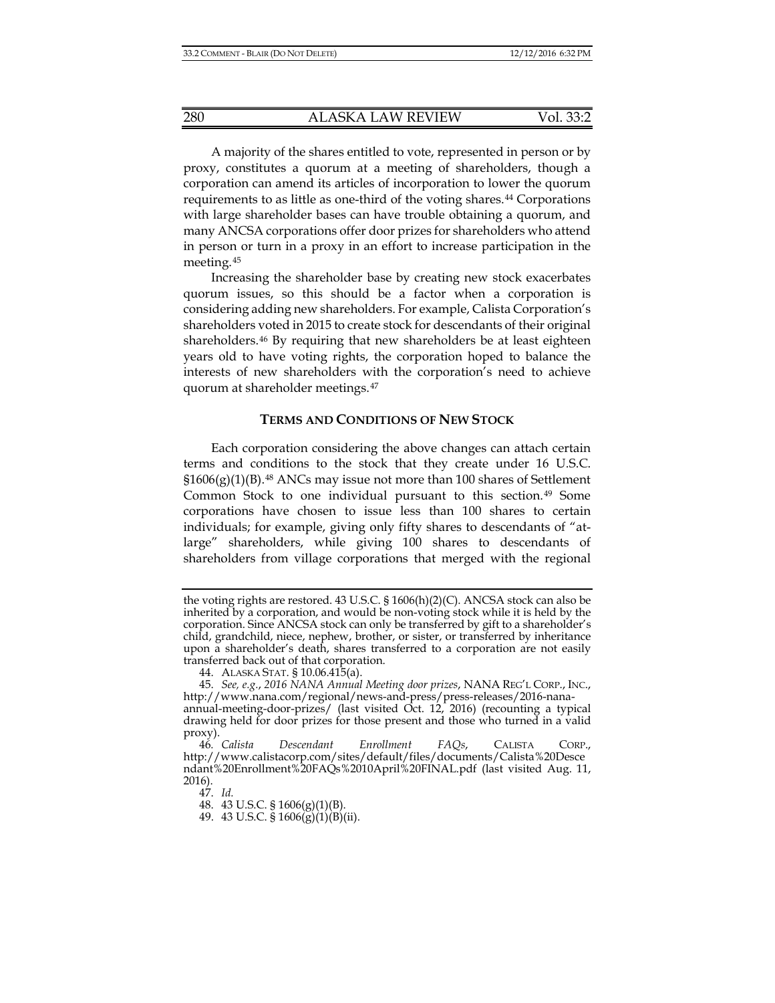A majority of the shares entitled to vote, represented in person or by proxy, constitutes a quorum at a meeting of shareholders, though a corporation can amend its articles of incorporation to lower the quorum requirements to as little as one-third of the voting shares.[44](#page-7-0) Corporations with large shareholder bases can have trouble obtaining a quorum, and many ANCSA corporations offer door prizes for shareholders who attend in person or turn in a proxy in an effort to increase participation in the meeting.[45](#page-7-1)

Increasing the shareholder base by creating new stock exacerbates quorum issues, so this should be a factor when a corporation is considering adding new shareholders. For example, Calista Corporation's shareholders voted in 2015 to create stock for descendants of their original shareholders.[46](#page-7-2) By requiring that new shareholders be at least eighteen years old to have voting rights, the corporation hoped to balance the interests of new shareholders with the corporation's need to achieve quorum at shareholder meetings.[47](#page-7-3)

#### **TERMS AND CONDITIONS OF NEW STOCK**

Each corporation considering the above changes can attach certain terms and conditions to the stock that they create under 16 U.S.C.  $$1606(g)(1)(B).$ <sup>[48](#page-7-4)</sup> ANCs may issue not more than 100 shares of Settlement Common Stock to one individual pursuant to this section.[49](#page-7-5) Some corporations have chosen to issue less than 100 shares to certain individuals; for example, giving only fifty shares to descendants of "atlarge" shareholders, while giving 100 shares to descendants of shareholders from village corporations that merged with the regional

47. *Id.*

48. 43 U.S.C. § 1606(g)(1)(B).

49. 43 U.S.C.  $\frac{1}{9}$  1606( $\frac{1}{9}$ )(1)( $\frac{1}{9}$ )(ii).

the voting rights are restored. 43 U.S.C.  $\S 1606(h)(2)(C)$ . ANCSA stock can also be inherited by a corporation, and would be non-voting stock while it is held by the corporation. Since ANCSA stock can only be transferred by gift to a shareholder's child, grandchild, niece, nephew, brother, or sister, or transferred by inheritance upon a shareholder's death, shares transferred to a corporation are not easily transferred back out of that corporation.

<sup>44.</sup> ALASKA STAT. § 10.06.415(a).

<span id="page-7-1"></span><span id="page-7-0"></span><sup>45.</sup> *See, e.g.*, *2016 NANA Annual Meeting door prizes*, NANA REG'L CORP., INC., http://www.nana.com/regional/news-and-press/press-releases/2016-nanaannual-meeting-door-prizes/ (last visited Oct. 12, 2016) (recounting a typical drawing held for door prizes for those present and those who turned in a valid proxy).<br>46. Calista

<span id="page-7-5"></span><span id="page-7-4"></span><span id="page-7-3"></span><span id="page-7-2"></span><sup>46</sup>*. Calista Descendant Enrollment FAQs*, CALISTA CORP., http://www.calistacorp.com/sites/default/files/documents/Calista%20Desce ndant%20Enrollment%20FAQs%2010April%20FINAL.pdf (last visited Aug. 11, 2016).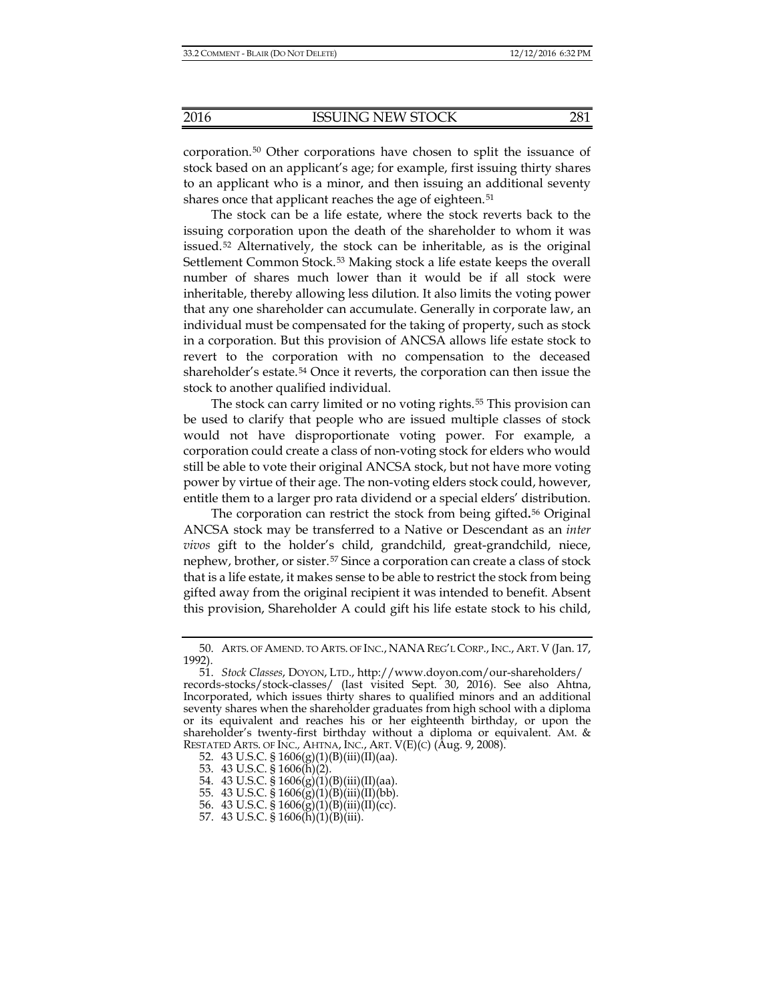corporation.[50](#page-8-0) Other corporations have chosen to split the issuance of stock based on an applicant's age; for example, first issuing thirty shares to an applicant who is a minor, and then issuing an additional seventy shares once that applicant reaches the age of eighteen.<sup>[51](#page-8-1)</sup>

The stock can be a life estate, where the stock reverts back to the issuing corporation upon the death of the shareholder to whom it was issued.<sup>[52](#page-8-2)</sup> Alternatively, the stock can be inheritable, as is the original Settlement Common Stock.[53](#page-8-3) Making stock a life estate keeps the overall number of shares much lower than it would be if all stock were inheritable, thereby allowing less dilution. It also limits the voting power that any one shareholder can accumulate. Generally in corporate law, an individual must be compensated for the taking of property, such as stock in a corporation. But this provision of ANCSA allows life estate stock to revert to the corporation with no compensation to the deceased shareholder's estate.[54](#page-8-4) Once it reverts, the corporation can then issue the stock to another qualified individual.

The stock can carry limited or no voting rights.<sup>[55](#page-8-5)</sup> This provision can be used to clarify that people who are issued multiple classes of stock would not have disproportionate voting power. For example, a corporation could create a class of non-voting stock for elders who would still be able to vote their original ANCSA stock, but not have more voting power by virtue of their age. The non-voting elders stock could, however, entitle them to a larger pro rata dividend or a special elders' distribution.

The corporation can restrict the stock from being gifted**.**[56](#page-8-6) Original ANCSA stock may be transferred to a Native or Descendant as an *inter vivos* gift to the holder's child, grandchild, great-grandchild, niece, nephew, brother, or sister.[57](#page-8-7) Since a corporation can create a class of stock that is a life estate, it makes sense to be able to restrict the stock from being gifted away from the original recipient it was intended to benefit. Absent this provision, Shareholder A could gift his life estate stock to his child,

<span id="page-8-0"></span><sup>50.</sup> ARTS. OF AMEND. TO ARTS. OF INC., NANAREG'L CORP.,INC., ART. V (Jan. 17, 1992).

<span id="page-8-1"></span><sup>51.</sup> *Stock Classes*, DOYON, LTD., http://www.doyon.com/our-shareholders/ records-stocks/stock-classes/ (last visited Sept. 30, 2016). See also Ahtna, Incorporated, which issues thirty shares to qualified minors and an additional seventy shares when the shareholder graduates from high school with a diploma or its equivalent and reaches his or her eighteenth birthday, or upon the shareholder's twenty-first birthday without a diploma or equivalent. AM. & RESTATED ARTS. OF INC.*,* AHTNA, INC., ART. V(E)(C) (Aug. 9, 2008).

<span id="page-8-2"></span><sup>52. 43</sup> U.S.C. §  $1606(g)(1)(B)(iii)(II)(aa)$ .

<span id="page-8-3"></span><sup>53.</sup> 43 U.S.C. § 1606(h)(2).

<span id="page-8-4"></span><sup>54. 43</sup> U.S.C. §  $1606(g)(1)(B)(iii)(II)(aa)$ .

<span id="page-8-5"></span><sup>55. 43</sup> U.S.C.  $$1606(g)(1)(B)(iii)(II)(bb)$ .

<sup>56.</sup> 43 U.S.C. § 1606(g)(1)(B)(iii)(II)(cc).

<span id="page-8-7"></span><span id="page-8-6"></span><sup>57.</sup> 43 U.S.C. § 1606(h)(1)(B)(iii).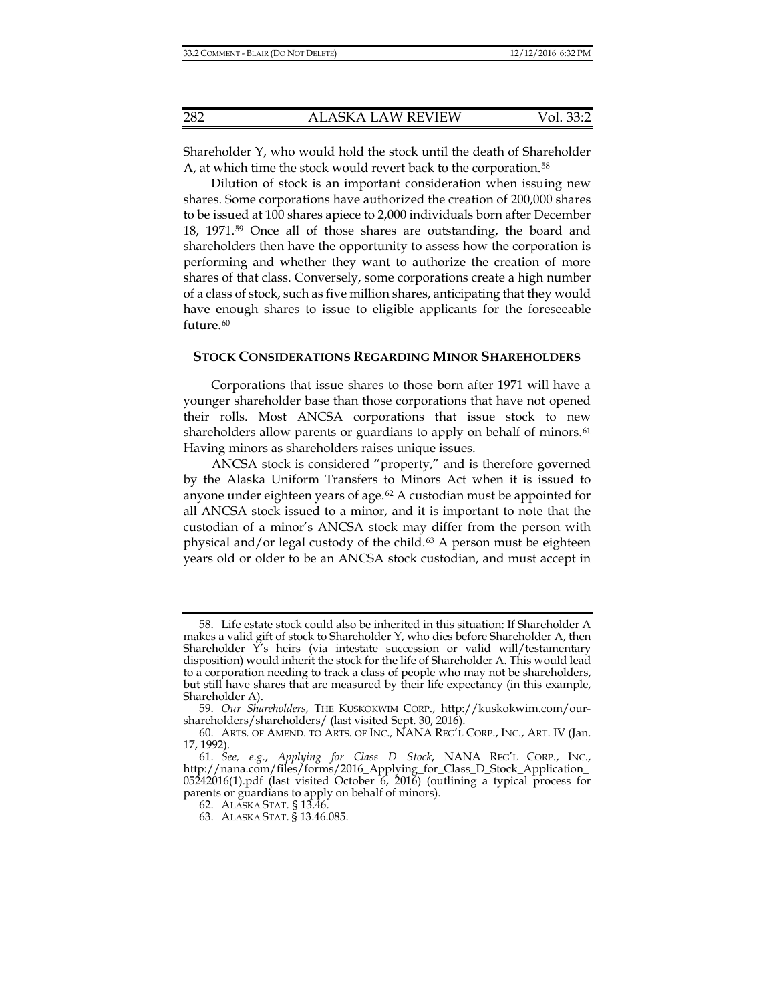Shareholder Y, who would hold the stock until the death of Shareholder A, at which time the stock would revert back to the corporation.<sup>[58](#page-9-0)</sup>

Dilution of stock is an important consideration when issuing new shares. Some corporations have authorized the creation of 200,000 shares to be issued at 100 shares apiece to 2,000 individuals born after December 18, 1971.[59](#page-9-1) Once all of those shares are outstanding, the board and shareholders then have the opportunity to assess how the corporation is performing and whether they want to authorize the creation of more shares of that class. Conversely, some corporations create a high number of a class of stock, such as five million shares, anticipating that they would have enough shares to issue to eligible applicants for the foreseeable future.<sup>[60](#page-9-2)</sup>

#### **STOCK CONSIDERATIONS REGARDING MINOR SHAREHOLDERS**

Corporations that issue shares to those born after 1971 will have a younger shareholder base than those corporations that have not opened their rolls. Most ANCSA corporations that issue stock to new shareholders allow parents or guardians to apply on behalf of minors.<sup>[61](#page-9-3)</sup> Having minors as shareholders raises unique issues.

ANCSA stock is considered "property," and is therefore governed by the Alaska Uniform Transfers to Minors Act when it is issued to anyone under eighteen years of age.<sup>[62](#page-9-4)</sup> A custodian must be appointed for all ANCSA stock issued to a minor, and it is important to note that the custodian of a minor's ANCSA stock may differ from the person with physical and/or legal custody of the child. $63$  A person must be eighteen years old or older to be an ANCSA stock custodian, and must accept in

<span id="page-9-0"></span><sup>58.</sup> Life estate stock could also be inherited in this situation: If Shareholder A makes a valid gift of stock to Shareholder Y, who dies before Shareholder A, then Shareholder  $\overline{Y}'$ s heirs (via intestate succession or valid will/testamentary disposition) would inherit the stock for the life of Shareholder A. This would lead to a corporation needing to track a class of people who may not be shareholders, but still have shares that are measured by their life expectancy (in this example, Shareholder A).

<span id="page-9-1"></span><sup>59.</sup> *Our Shareholders*, THE KUSKOKWIM CORP., http://kuskokwim.com/ourshareholders/shareholders/ (last visited Sept. 30, 2016).

<span id="page-9-2"></span><sup>60.</sup> ARTS. OF AMEND. TO ARTS. OF INC.*,* NANA REG'L CORP., INC., ART. IV (Jan. 17, 1992).

<span id="page-9-5"></span><span id="page-9-4"></span><span id="page-9-3"></span><sup>61.</sup> *See, e.g.*, *Applying for Class D Stock*, NANA REG'L CORP., INC., http://nana.com/files/forms/2016\_Applying\_for\_Class\_D\_Stock\_Application\_ 05242016(1).pdf (last visited October 6, 2016) (outlining a typical process for parents or guardians to apply on behalf of minors).

<sup>62.</sup> ALASKA STAT. § 13.46.

<sup>63.</sup> ALASKA STAT. § 13.46.085.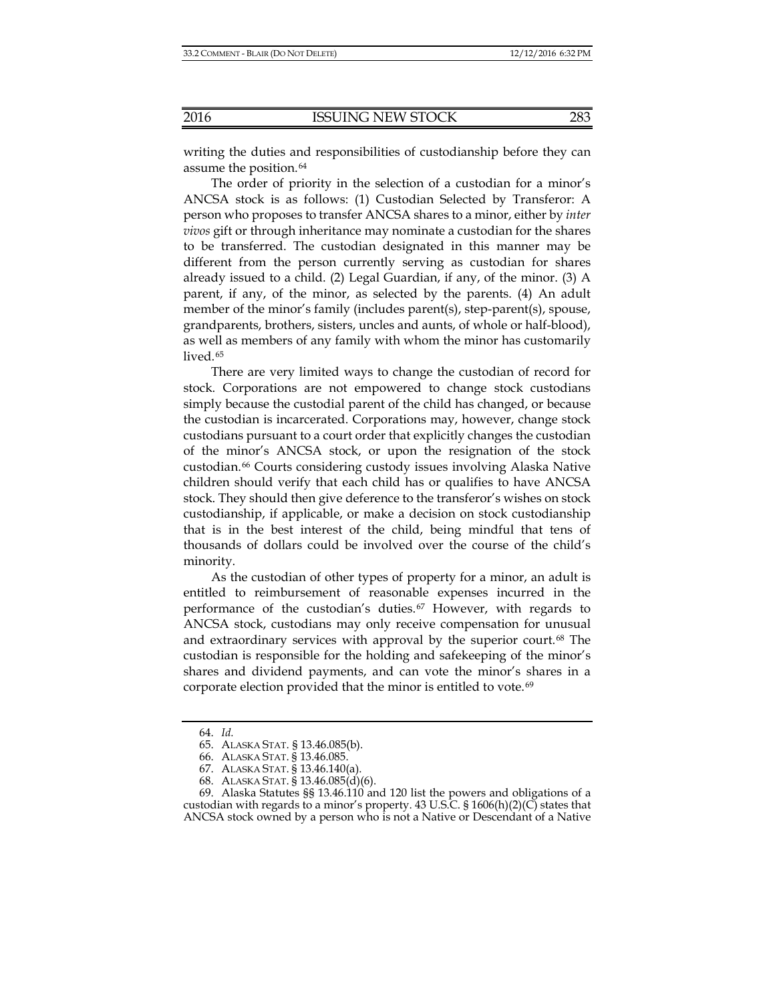writing the duties and responsibilities of custodianship before they can

The order of priority in the selection of a custodian for a minor's ANCSA stock is as follows: (1) Custodian Selected by Transferor: A person who proposes to transfer ANCSA shares to a minor, either by *inter vivos* gift or through inheritance may nominate a custodian for the shares to be transferred. The custodian designated in this manner may be different from the person currently serving as custodian for shares already issued to a child. (2) Legal Guardian, if any, of the minor. (3) A parent, if any, of the minor, as selected by the parents. (4) An adult member of the minor's family (includes parent(s), step-parent(s), spouse, grandparents, brothers, sisters, uncles and aunts, of whole or half-blood), as well as members of any family with whom the minor has customarily lived.<sup>[65](#page-10-1)</sup>

There are very limited ways to change the custodian of record for stock. Corporations are not empowered to change stock custodians simply because the custodial parent of the child has changed, or because the custodian is incarcerated. Corporations may, however, change stock custodians pursuant to a court order that explicitly changes the custodian of the minor's ANCSA stock, or upon the resignation of the stock custodian.[66](#page-10-2) Courts considering custody issues involving Alaska Native children should verify that each child has or qualifies to have ANCSA stock. They should then give deference to the transferor's wishes on stock custodianship, if applicable, or make a decision on stock custodianship that is in the best interest of the child, being mindful that tens of thousands of dollars could be involved over the course of the child's minority.

As the custodian of other types of property for a minor, an adult is entitled to reimbursement of reasonable expenses incurred in the performance of the custodian's duties.[67](#page-10-3) However, with regards to ANCSA stock, custodians may only receive compensation for unusual and extraordinary services with approval by the superior court.[68](#page-10-4) The custodian is responsible for the holding and safekeeping of the minor's shares and dividend payments, and can vote the minor's shares in a corporate election provided that the minor is entitled to vote.[69](#page-10-5)

assume the position.<sup>[64](#page-10-0)</sup>

<sup>64.</sup> *Id.*

<sup>65.</sup> ALASKA STAT. § 13.46.085(b).

<sup>66.</sup> ALASKA STAT. § 13.46.085.

<sup>67.</sup> ALASKA STAT. § 13.46.140(a).

<sup>68.</sup> ALASKA STAT. § 13.46.085(d)(6).

<span id="page-10-5"></span><span id="page-10-4"></span><span id="page-10-3"></span><span id="page-10-2"></span><span id="page-10-1"></span><span id="page-10-0"></span><sup>69.</sup> Alaska Statutes §§ 13.46.110 and 120 list the powers and obligations of a custodian with regards to a minor's property.  $43$  U.S.C.  $\S$  1606(h)(2)(C) states that ANCSA stock owned by a person who is not a Native or Descendant of a Native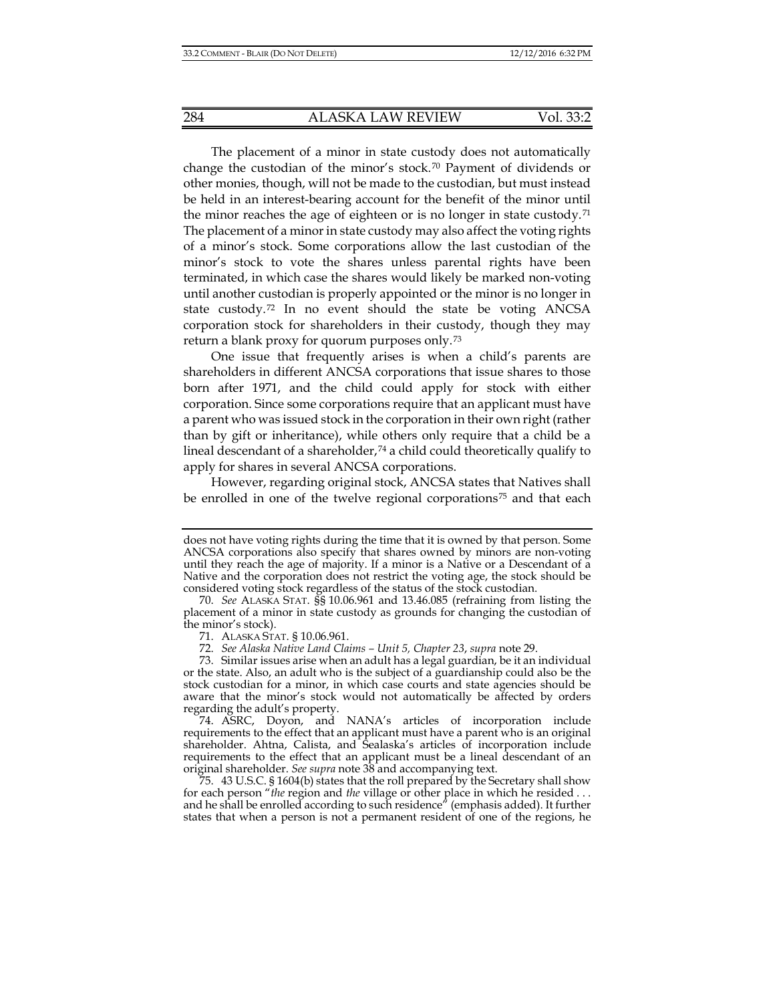The placement of a minor in state custody does not automatically change the custodian of the minor's stock.<sup>[70](#page-11-0)</sup> Payment of dividends or other monies, though, will not be made to the custodian, but must instead be held in an interest-bearing account for the benefit of the minor until the minor reaches the age of eighteen or is no longer in state custody.[71](#page-11-1) The placement of a minor in state custody may also affect the voting rights of a minor's stock. Some corporations allow the last custodian of the minor's stock to vote the shares unless parental rights have been terminated, in which case the shares would likely be marked non-voting until another custodian is properly appointed or the minor is no longer in state custody.[72](#page-11-2) In no event should the state be voting ANCSA corporation stock for shareholders in their custody, though they may return a blank proxy for quorum purposes only.[73](#page-11-3)

One issue that frequently arises is when a child's parents are shareholders in different ANCSA corporations that issue shares to those born after 1971, and the child could apply for stock with either corporation. Since some corporations require that an applicant must have a parent who was issued stock in the corporation in their own right (rather than by gift or inheritance), while others only require that a child be a lineal descendant of a shareholder, $74$  a child could theoretically qualify to apply for shares in several ANCSA corporations.

However, regarding original stock, ANCSA states that Natives shall be enrolled in one of the twelve regional corporations<sup>[75](#page-11-5)</sup> and that each

does not have voting rights during the time that it is owned by that person. Some ANCSA corporations also specify that shares owned by minors are non-voting until they reach the age of majority. If a minor is a Native or a Descendant of a Native and the corporation does not restrict the voting age, the stock should be considered voting stock regardless of the status of the stock custodian.

<span id="page-11-0"></span><sup>70.</sup> *See* ALASKA STAT. §§ 10.06.961 and 13.46.085 (refraining from listing the placement of a minor in state custody as grounds for changing the custodian of the minor's stock).

<sup>71.</sup> ALASKA STAT. § 10.06.961.

<sup>72.</sup> *See Alaska Native Land Claims – Unit 5, Chapter 23*, *supra* note [29.](#page-4-8)

<span id="page-11-3"></span><span id="page-11-2"></span><span id="page-11-1"></span><sup>73.</sup> Similar issues arise when an adult has a legal guardian, be it an individual or the state. Also, an adult who is the subject of a guardianship could also be the stock custodian for a minor, in which case courts and state agencies should be aware that the minor's stock would not automatically be affected by orders regarding the adult's property.

<span id="page-11-4"></span><sup>74.</sup> ASRC, Doyon, and NANA's articles of incorporation include requirements to the effect that an applicant must have a parent who is an original shareholder. Ahtna, Calista, and Sealaska's articles of incorporation include requirements to the effect that an applicant must be a lineal descendant of an original shareholder. *See supra* note [38](#page-5-7) and accompanying text.

<span id="page-11-5"></span><sup>75.</sup> 43 U.S.C. § 1604(b) states that the roll prepared by the Secretary shall show for each person "*the* region and *the* village or other place in which he resided . . . and he shall be enrolled according to such residence" (emphasis added). It further states that when a person is not a permanent resident of one of the regions, he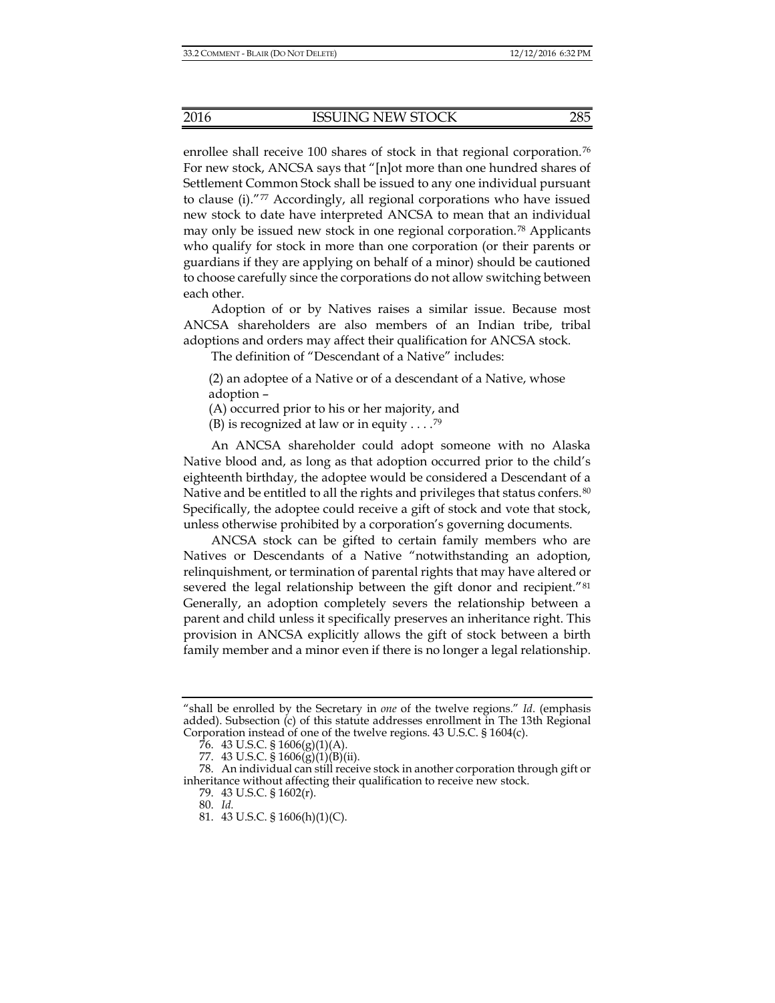enrollee shall receive 100 shares of stock in that regional corporation.<sup>[76](#page-12-0)</sup> For new stock, ANCSA says that "[n]ot more than one hundred shares of Settlement Common Stock shall be issued to any one individual pursuant to clause (i)."[77](#page-12-1) Accordingly, all regional corporations who have issued new stock to date have interpreted ANCSA to mean that an individual may only be issued new stock in one regional corporation.[78](#page-12-2) Applicants who qualify for stock in more than one corporation (or their parents or guardians if they are applying on behalf of a minor) should be cautioned to choose carefully since the corporations do not allow switching between each other.

Adoption of or by Natives raises a similar issue. Because most ANCSA shareholders are also members of an Indian tribe, tribal adoptions and orders may affect their qualification for ANCSA stock.

The definition of "Descendant of a Native" includes:

(2) an adoptee of a Native or of a descendant of a Native, whose adoption –

(A) occurred prior to his or her majority, and

(B) is recognized at law or in equity  $\dots$ .<sup>[79](#page-12-3)</sup>

An ANCSA shareholder could adopt someone with no Alaska Native blood and, as long as that adoption occurred prior to the child's eighteenth birthday, the adoptee would be considered a Descendant of a Native and be entitled to all the rights and privileges that status confers.<sup>[80](#page-12-4)</sup> Specifically, the adoptee could receive a gift of stock and vote that stock, unless otherwise prohibited by a corporation's governing documents.

ANCSA stock can be gifted to certain family members who are Natives or Descendants of a Native "notwithstanding an adoption, relinquishment, or termination of parental rights that may have altered or severed the legal relationship between the gift donor and recipient."<sup>[81](#page-12-5)</sup> Generally, an adoption completely severs the relationship between a parent and child unless it specifically preserves an inheritance right. This provision in ANCSA explicitly allows the gift of stock between a birth family member and a minor even if there is no longer a legal relationship.

81. 43 U.S.C. § 1606(h)(1)(C).

<sup>&</sup>quot;shall be enrolled by the Secretary in *one* of the twelve regions." *Id*. (emphasis added). Subsection  $(c)$  of this statute addresses enrollment in The 13th Regional Corporation instead of one of the twelve regions. 43 U.S.C. § 1604(c).

<sup>76. 43</sup> U.S.C. §  $1606(g)(1)(A)$ .

<sup>77.</sup> 43 U.S.C. § 1606(g)(1)(B)(ii).

<span id="page-12-5"></span><span id="page-12-4"></span><span id="page-12-3"></span><span id="page-12-2"></span><span id="page-12-1"></span><span id="page-12-0"></span><sup>78.</sup> An individual can still receive stock in another corporation through gift or inheritance without affecting their qualification to receive new stock.

<sup>79.</sup> 43 U.S.C. § 1602(r).

<sup>80.</sup> *Id.*